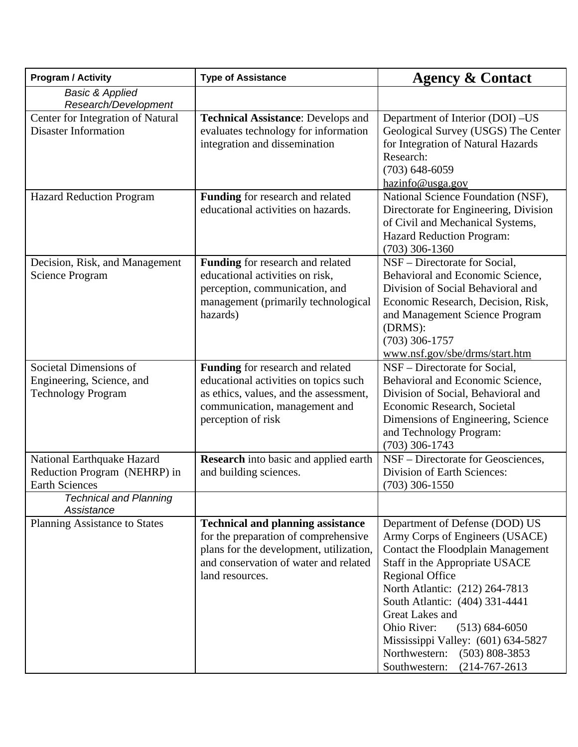| <b>Program / Activity</b>                                                           | <b>Type of Assistance</b>                                                                                                                                                               | <b>Agency &amp; Contact</b>                                                                                                                                                                                                                                                                                                                                                                                          |
|-------------------------------------------------------------------------------------|-----------------------------------------------------------------------------------------------------------------------------------------------------------------------------------------|----------------------------------------------------------------------------------------------------------------------------------------------------------------------------------------------------------------------------------------------------------------------------------------------------------------------------------------------------------------------------------------------------------------------|
| <b>Basic &amp; Applied</b><br>Research/Development                                  |                                                                                                                                                                                         |                                                                                                                                                                                                                                                                                                                                                                                                                      |
| Center for Integration of Natural<br><b>Disaster Information</b>                    | <b>Technical Assistance: Develops and</b><br>evaluates technology for information<br>integration and dissemination                                                                      | Department of Interior (DOI) -US<br>Geological Survey (USGS) The Center<br>for Integration of Natural Hazards<br>Research:<br>$(703) 648 - 6059$<br>hazinfo@usga.gov                                                                                                                                                                                                                                                 |
| <b>Hazard Reduction Program</b>                                                     | Funding for research and related<br>educational activities on hazards.                                                                                                                  | National Science Foundation (NSF),<br>Directorate for Engineering, Division<br>of Civil and Mechanical Systems,<br>Hazard Reduction Program:<br>$(703)$ 306-1360                                                                                                                                                                                                                                                     |
| Decision, Risk, and Management<br><b>Science Program</b>                            | Funding for research and related<br>educational activities on risk,<br>perception, communication, and<br>management (primarily technological<br>hazards)                                | NSF – Directorate for Social,<br>Behavioral and Economic Science,<br>Division of Social Behavioral and<br>Economic Research, Decision, Risk,<br>and Management Science Program<br>(DRMS):<br>$(703)$ 306-1757<br>www.nsf.gov/sbe/drms/start.htm                                                                                                                                                                      |
| Societal Dimensions of<br>Engineering, Science, and<br><b>Technology Program</b>    | Funding for research and related<br>educational activities on topics such<br>as ethics, values, and the assessment,<br>communication, management and<br>perception of risk              | NSF – Directorate for Social,<br>Behavioral and Economic Science,<br>Division of Social, Behavioral and<br>Economic Research, Societal<br>Dimensions of Engineering, Science<br>and Technology Program:<br>$(703)$ 306-1743                                                                                                                                                                                          |
| National Earthquake Hazard<br>Reduction Program (NEHRP) in<br><b>Earth Sciences</b> | <b>Research</b> into basic and applied earth<br>and building sciences.                                                                                                                  | NSF - Directorate for Geosciences,<br>Division of Earth Sciences:<br>$(703)$ 306-1550                                                                                                                                                                                                                                                                                                                                |
| <b>Technical and Planning</b><br>Assistance                                         |                                                                                                                                                                                         |                                                                                                                                                                                                                                                                                                                                                                                                                      |
| Planning Assistance to States                                                       | <b>Technical and planning assistance</b><br>for the preparation of comprehensive<br>plans for the development, utilization,<br>and conservation of water and related<br>land resources. | Department of Defense (DOD) US<br>Army Corps of Engineers (USACE)<br>Contact the Floodplain Management<br>Staff in the Appropriate USACE<br><b>Regional Office</b><br>North Atlantic: (212) 264-7813<br>South Atlantic: (404) 331-4441<br>Great Lakes and<br>Ohio River:<br>$(513) 684 - 6050$<br>Mississippi Valley: (601) 634-5827<br>Northwestern:<br>$(503) 808 - 3853$<br>Southwestern:<br>$(214 - 767 - 2613)$ |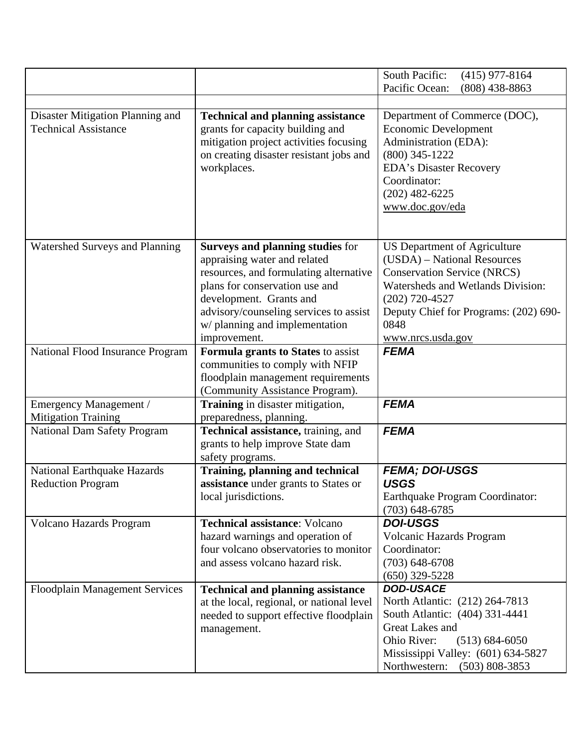|                                                                 |                                                                                                                                                                                                                                                                            | South Pacific:<br>$(415)$ 977-8164<br>Pacific Ocean:<br>$(808)$ 438-8863                                                                                                                                                                |
|-----------------------------------------------------------------|----------------------------------------------------------------------------------------------------------------------------------------------------------------------------------------------------------------------------------------------------------------------------|-----------------------------------------------------------------------------------------------------------------------------------------------------------------------------------------------------------------------------------------|
|                                                                 |                                                                                                                                                                                                                                                                            |                                                                                                                                                                                                                                         |
| Disaster Mitigation Planning and<br><b>Technical Assistance</b> | <b>Technical and planning assistance</b><br>grants for capacity building and<br>mitigation project activities focusing<br>on creating disaster resistant jobs and<br>workplaces.                                                                                           | Department of Commerce (DOC),<br>Economic Development<br>Administration (EDA):<br>$(800)$ 345-1222<br><b>EDA's Disaster Recovery</b><br>Coordinator:<br>$(202)$ 482-6225<br>www.doc.gov/eda                                             |
| Watershed Surveys and Planning                                  | <b>Surveys and planning studies for</b><br>appraising water and related<br>resources, and formulating alternative<br>plans for conservation use and<br>development. Grants and<br>advisory/counseling services to assist<br>w/ planning and implementation<br>improvement. | <b>US Department of Agriculture</b><br>(USDA) – National Resources<br><b>Conservation Service (NRCS)</b><br>Watersheds and Wetlands Division:<br>$(202)$ 720-4527<br>Deputy Chief for Programs: (202) 690-<br>0848<br>www.nrcs.usda.gov |
| National Flood Insurance Program                                | Formula grants to States to assist<br>communities to comply with NFIP<br>floodplain management requirements<br>(Community Assistance Program).                                                                                                                             | <b>FEMA</b>                                                                                                                                                                                                                             |
| Emergency Management /<br><b>Mitigation Training</b>            | Training in disaster mitigation,<br>preparedness, planning.                                                                                                                                                                                                                | <b>FEMA</b>                                                                                                                                                                                                                             |
| <b>National Dam Safety Program</b>                              | Technical assistance, training, and<br>grants to help improve State dam<br>safety programs.                                                                                                                                                                                | <b>FEMA</b>                                                                                                                                                                                                                             |
| <b>National Earthquake Hazards</b><br><b>Reduction Program</b>  | <b>Training, planning and technical</b><br>assistance under grants to States or<br>local jurisdictions.                                                                                                                                                                    | <b>FEMA; DOI-USGS</b><br><b>USGS</b><br>Earthquake Program Coordinator:<br>$(703)$ 648-6785                                                                                                                                             |
| Volcano Hazards Program                                         | <b>Technical assistance: Volcano</b><br>hazard warnings and operation of<br>four volcano observatories to monitor<br>and assess volcano hazard risk.                                                                                                                       | <b>DOI-USGS</b><br>Volcanic Hazards Program<br>Coordinator:<br>$(703)$ 648-6708<br>$(650)$ 329-5228                                                                                                                                     |
| <b>Floodplain Management Services</b>                           | <b>Technical and planning assistance</b><br>at the local, regional, or national level<br>needed to support effective floodplain<br>management.                                                                                                                             | <b>DOD-USACE</b><br>North Atlantic: (212) 264-7813<br>South Atlantic: (404) 331-4441<br>Great Lakes and<br>Ohio River:<br>$(513) 684 - 6050$<br>Mississippi Valley: (601) 634-5827<br>Northwestern:<br>$(503) 808 - 3853$               |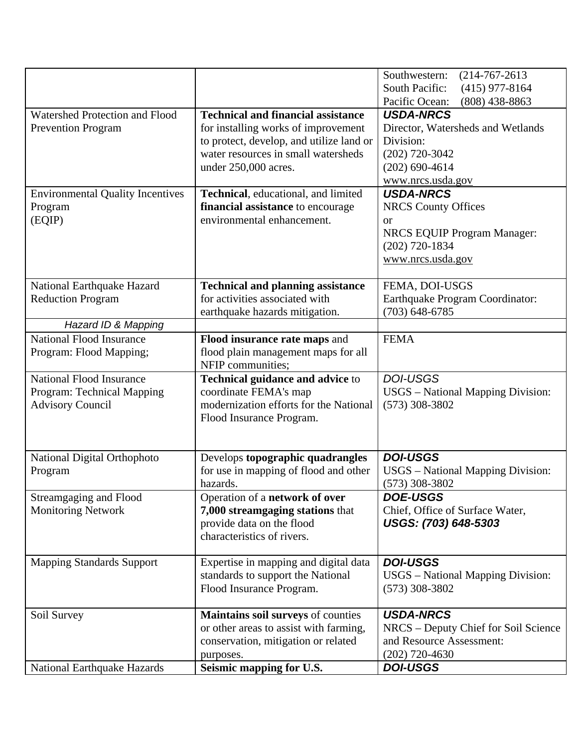|                                         |                                           | Southwestern:<br>$(214 - 767 - 2613)$     |
|-----------------------------------------|-------------------------------------------|-------------------------------------------|
|                                         |                                           | <b>South Pacific:</b><br>$(415)$ 977-8164 |
|                                         |                                           | $(808)$ 438-8863<br>Pacific Ocean:        |
| Watershed Protection and Flood          | <b>Technical and financial assistance</b> | <b>USDA-NRCS</b>                          |
| <b>Prevention Program</b>               | for installing works of improvement       | Director, Watersheds and Wetlands         |
|                                         | to protect, develop, and utilize land or  | Division:                                 |
|                                         | water resources in small watersheds       | $(202)$ 720-3042                          |
|                                         | under 250,000 acres.                      | $(202)$ 690-4614                          |
|                                         |                                           | www.nrcs.usda.gov                         |
| <b>Environmental Quality Incentives</b> | Technical, educational, and limited       | <b>USDA-NRCS</b>                          |
| Program                                 | financial assistance to encourage         | <b>NRCS County Offices</b>                |
| (EQIP)                                  | environmental enhancement.                | <b>or</b>                                 |
|                                         |                                           | <b>NRCS EQUIP Program Manager:</b>        |
|                                         |                                           | $(202)$ 720-1834                          |
|                                         |                                           | www.nrcs.usda.gov                         |
|                                         |                                           |                                           |
| National Earthquake Hazard              | <b>Technical and planning assistance</b>  | FEMA, DOI-USGS                            |
| <b>Reduction Program</b>                | for activities associated with            | Earthquake Program Coordinator:           |
|                                         | earthquake hazards mitigation.            | $(703)$ 648-6785                          |
| Hazard ID & Mapping                     |                                           |                                           |
| <b>National Flood Insurance</b>         | Flood insurance rate maps and             | <b>FEMA</b>                               |
| Program: Flood Mapping;                 | flood plain management maps for all       |                                           |
|                                         | NFIP communities;                         |                                           |
| <b>National Flood Insurance</b>         | Technical guidance and advice to          | <b>DOI-USGS</b>                           |
| Program: Technical Mapping              | coordinate FEMA's map                     | <b>USGS</b> – National Mapping Division:  |
| <b>Advisory Council</b>                 | modernization efforts for the National    | $(573)$ 308-3802                          |
|                                         | Flood Insurance Program.                  |                                           |
|                                         |                                           |                                           |
|                                         |                                           |                                           |
| National Digital Orthophoto             | Develops topographic quadrangles          | <b>DOI-USGS</b>                           |
| Program                                 | for use in mapping of flood and other     | <b>USGS</b> - National Mapping Division:  |
|                                         | hazards.                                  | $(573)$ 308-3802                          |
| <b>Streamgaging and Flood</b>           | Operation of a network of over            | <b>DOE-USGS</b>                           |
| <b>Monitoring Network</b>               |                                           |                                           |
|                                         | 7,000 streamgaging stations that          | Chief, Office of Surface Water,           |
|                                         | provide data on the flood                 | USGS: (703) 648-5303                      |
|                                         | characteristics of rivers.                |                                           |
|                                         |                                           |                                           |
| <b>Mapping Standards Support</b>        | Expertise in mapping and digital data     | <b>DOI-USGS</b>                           |
|                                         | standards to support the National         | USGS - National Mapping Division:         |
|                                         | Flood Insurance Program.                  | $(573)$ 308-3802                          |
|                                         |                                           |                                           |
| Soil Survey                             | Maintains soil surveys of counties        | <b>USDA-NRCS</b>                          |
|                                         | or other areas to assist with farming,    | NRCS - Deputy Chief for Soil Science      |
|                                         | conservation, mitigation or related       | and Resource Assessment:                  |
| <b>National Earthquake Hazards</b>      | purposes.<br>Seismic mapping for U.S.     | $(202)$ 720-4630<br><b>DOI-USGS</b>       |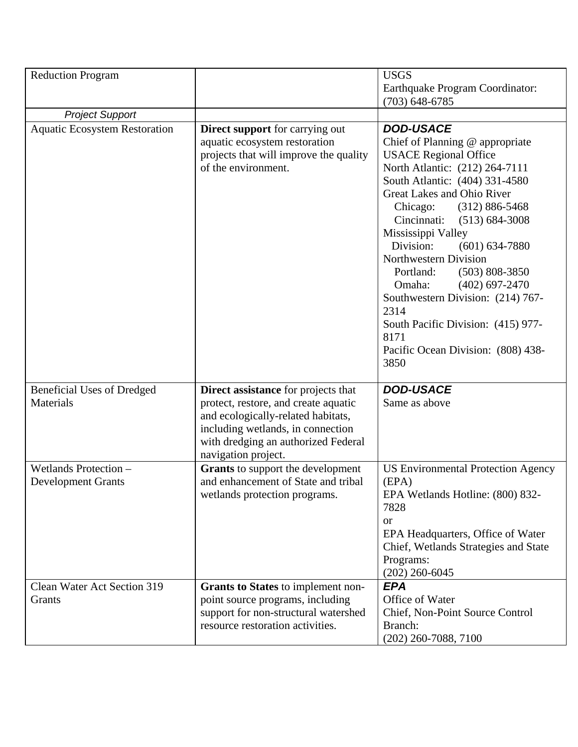| <b>Reduction Program</b>                           |                                                                                                                                                                                                                      | <b>USGS</b><br>Earthquake Program Coordinator:<br>$(703) 648 - 6785$                                                                                                                                                                                                                                                                                                                                                                                                                                                                                     |
|----------------------------------------------------|----------------------------------------------------------------------------------------------------------------------------------------------------------------------------------------------------------------------|----------------------------------------------------------------------------------------------------------------------------------------------------------------------------------------------------------------------------------------------------------------------------------------------------------------------------------------------------------------------------------------------------------------------------------------------------------------------------------------------------------------------------------------------------------|
| <b>Project Support</b>                             |                                                                                                                                                                                                                      |                                                                                                                                                                                                                                                                                                                                                                                                                                                                                                                                                          |
| <b>Aquatic Ecosystem Restoration</b>               | <b>Direct support</b> for carrying out<br>aquatic ecosystem restoration<br>projects that will improve the quality<br>of the environment.                                                                             | <b>DOD-USACE</b><br>Chief of Planning @ appropriate<br><b>USACE Regional Office</b><br>North Atlantic: (212) 264-7111<br>South Atlantic: (404) 331-4580<br>Great Lakes and Ohio River<br>$(312) 886 - 5468$<br>Chicago:<br>Cincinnati:<br>$(513) 684 - 3008$<br>Mississippi Valley<br>Division:<br>$(601) 634 - 7880$<br>Northwestern Division<br>Portland:<br>$(503) 808 - 3850$<br>Omaha:<br>$(402)$ 697-2470<br>Southwestern Division: (214) 767-<br>2314<br>South Pacific Division: (415) 977-<br>8171<br>Pacific Ocean Division: (808) 438-<br>3850 |
| <b>Beneficial Uses of Dredged</b><br>Materials     | Direct assistance for projects that<br>protect, restore, and create aquatic<br>and ecologically-related habitats,<br>including wetlands, in connection<br>with dredging an authorized Federal<br>navigation project. | <b>DOD-USACE</b><br>Same as above                                                                                                                                                                                                                                                                                                                                                                                                                                                                                                                        |
| Wetlands Protection -<br><b>Development Grants</b> | Grants to support the development<br>and enhancement of State and tribal<br>wetlands protection programs.                                                                                                            | <b>US Environmental Protection Agency</b><br>(EPA)<br>EPA Wetlands Hotline: (800) 832-<br>7828<br><b>or</b><br>EPA Headquarters, Office of Water<br>Chief, Wetlands Strategies and State<br>Programs:<br>$(202)$ 260-6045                                                                                                                                                                                                                                                                                                                                |
| Clean Water Act Section 319<br>Grants              | <b>Grants to States</b> to implement non-<br>point source programs, including<br>support for non-structural watershed<br>resource restoration activities.                                                            | <b>EPA</b><br>Office of Water<br>Chief, Non-Point Source Control<br>Branch:<br>$(202)$ 260-7088, 7100                                                                                                                                                                                                                                                                                                                                                                                                                                                    |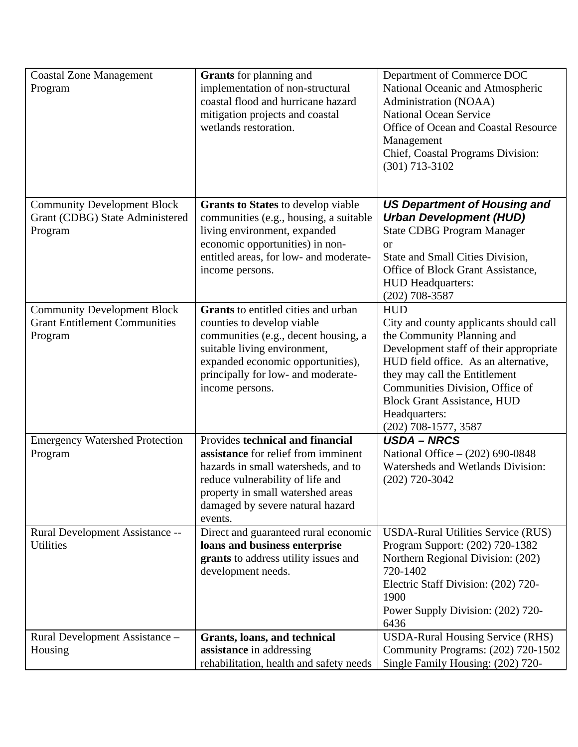| <b>Coastal Zone Management</b><br>Program                                             | <b>Grants</b> for planning and<br>implementation of non-structural<br>coastal flood and hurricane hazard<br>mitigation projects and coastal<br>wetlands restoration.                                                                           | Department of Commerce DOC<br>National Oceanic and Atmospheric<br>Administration (NOAA)<br><b>National Ocean Service</b><br>Office of Ocean and Coastal Resource<br>Management<br>Chief, Coastal Programs Division:<br>(301) 713-3102                                                                                     |
|---------------------------------------------------------------------------------------|------------------------------------------------------------------------------------------------------------------------------------------------------------------------------------------------------------------------------------------------|---------------------------------------------------------------------------------------------------------------------------------------------------------------------------------------------------------------------------------------------------------------------------------------------------------------------------|
| <b>Community Development Block</b><br>Grant (CDBG) State Administered<br>Program      | <b>Grants to States</b> to develop viable<br>communities (e.g., housing, a suitable<br>living environment, expanded<br>economic opportunities) in non-<br>entitled areas, for low- and moderate-<br>income persons.                            | <b>US Department of Housing and</b><br><b>Urban Development (HUD)</b><br><b>State CDBG Program Manager</b><br>or<br>State and Small Cities Division,<br>Office of Block Grant Assistance,<br>HUD Headquarters:<br>$(202)$ 708-3587                                                                                        |
| <b>Community Development Block</b><br><b>Grant Entitlement Communities</b><br>Program | <b>Grants</b> to entitled cities and urban<br>counties to develop viable<br>communities (e.g., decent housing, a<br>suitable living environment,<br>expanded economic opportunities),<br>principally for low- and moderate-<br>income persons. | <b>HUD</b><br>City and county applicants should call<br>the Community Planning and<br>Development staff of their appropriate<br>HUD field office. As an alternative,<br>they may call the Entitlement<br>Communities Division, Office of<br><b>Block Grant Assistance, HUD</b><br>Headquarters:<br>$(202)$ 708-1577, 3587 |
| <b>Emergency Watershed Protection</b><br>Program                                      | Provides technical and financial<br>assistance for relief from imminent<br>hazards in small watersheds, and to<br>reduce vulnerability of life and<br>property in small watershed areas<br>damaged by severe natural hazard<br>events.         | <b>USDA - NRCS</b><br>National Office - (202) 690-0848<br>Watersheds and Wetlands Division:<br>$(202)$ 720-3042                                                                                                                                                                                                           |
| Rural Development Assistance --<br>Utilities                                          | Direct and guaranteed rural economic<br>loans and business enterprise<br>grants to address utility issues and<br>development needs.                                                                                                            | <b>USDA-Rural Utilities Service (RUS)</b><br>Program Support: (202) 720-1382<br>Northern Regional Division: (202)<br>720-1402<br>Electric Staff Division: (202) 720-<br>1900<br>Power Supply Division: (202) 720-<br>6436                                                                                                 |
| Rural Development Assistance -<br>Housing                                             | Grants, loans, and technical<br>assistance in addressing<br>rehabilitation, health and safety needs                                                                                                                                            | <b>USDA-Rural Housing Service (RHS)</b><br>Community Programs: (202) 720-1502<br>Single Family Housing: (202) 720-                                                                                                                                                                                                        |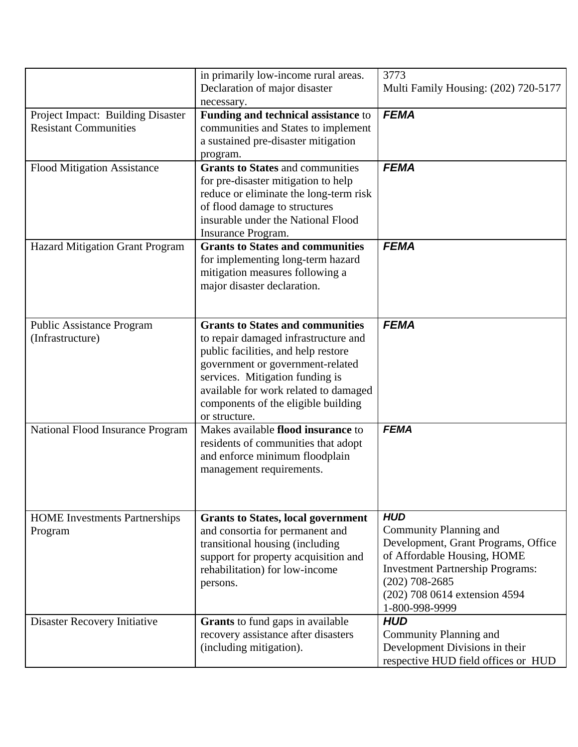|                                                                   | in primarily low-income rural areas.<br>Declaration of major disaster<br>necessary.                                                                                                                                                                                                            | 3773<br>Multi Family Housing: (202) 720-5177                                                                                                                                                                                 |
|-------------------------------------------------------------------|------------------------------------------------------------------------------------------------------------------------------------------------------------------------------------------------------------------------------------------------------------------------------------------------|------------------------------------------------------------------------------------------------------------------------------------------------------------------------------------------------------------------------------|
| Project Impact: Building Disaster<br><b>Resistant Communities</b> | Funding and technical assistance to<br>communities and States to implement<br>a sustained pre-disaster mitigation<br>program.                                                                                                                                                                  | <b>FEMA</b>                                                                                                                                                                                                                  |
| <b>Flood Mitigation Assistance</b>                                | <b>Grants to States and communities</b><br>for pre-disaster mitigation to help<br>reduce or eliminate the long-term risk<br>of flood damage to structures<br>insurable under the National Flood<br>Insurance Program.                                                                          | <b>FEMA</b>                                                                                                                                                                                                                  |
| <b>Hazard Mitigation Grant Program</b>                            | <b>Grants to States and communities</b><br>for implementing long-term hazard<br>mitigation measures following a<br>major disaster declaration.                                                                                                                                                 | <b>FEMA</b>                                                                                                                                                                                                                  |
| <b>Public Assistance Program</b><br>(Infrastructure)              | <b>Grants to States and communities</b><br>to repair damaged infrastructure and<br>public facilities, and help restore<br>government or government-related<br>services. Mitigation funding is<br>available for work related to damaged<br>components of the eligible building<br>or structure. | <b>FEMA</b>                                                                                                                                                                                                                  |
| National Flood Insurance Program                                  | Makes available flood insurance to<br>residents of communities that adopt<br>and enforce minimum floodplain<br>management requirements.                                                                                                                                                        | <b>FEMA</b>                                                                                                                                                                                                                  |
| <b>HOME</b> Investments Partnerships<br>Program                   | <b>Grants to States, local government</b><br>and consortia for permanent and<br>transitional housing (including<br>support for property acquisition and<br>rehabilitation) for low-income<br>persons.                                                                                          | <b>HUD</b><br>Community Planning and<br>Development, Grant Programs, Office<br>of Affordable Housing, HOME<br><b>Investment Partnership Programs:</b><br>$(202)$ 708-2685<br>(202) 708 0614 extension 4594<br>1-800-998-9999 |
| Disaster Recovery Initiative                                      | <b>Grants</b> to fund gaps in available<br>recovery assistance after disasters<br>(including mitigation).                                                                                                                                                                                      | <b>HUD</b><br>Community Planning and<br>Development Divisions in their<br>respective HUD field offices or HUD                                                                                                                |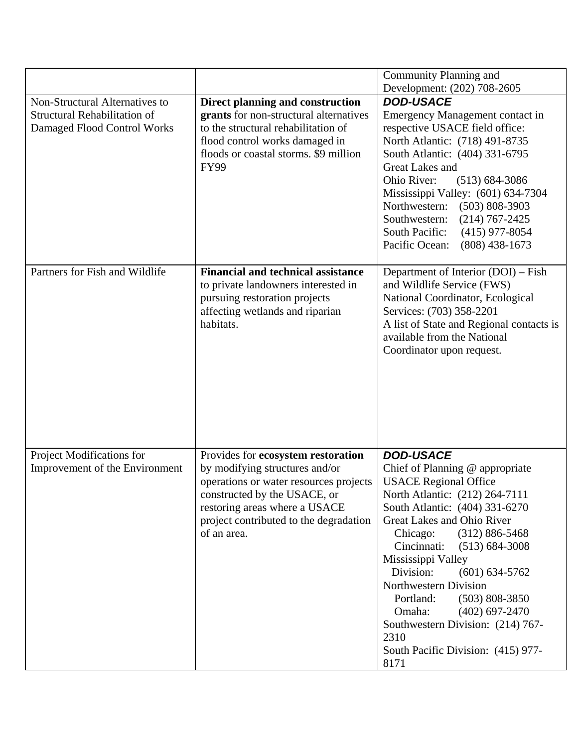|                                                                                                      |                                                                                                                                                                                                                                          | Community Planning and                                                                                                                                                                                                                                                                                                                                                                                                                                                                                     |
|------------------------------------------------------------------------------------------------------|------------------------------------------------------------------------------------------------------------------------------------------------------------------------------------------------------------------------------------------|------------------------------------------------------------------------------------------------------------------------------------------------------------------------------------------------------------------------------------------------------------------------------------------------------------------------------------------------------------------------------------------------------------------------------------------------------------------------------------------------------------|
| Non-Structural Alternatives to<br><b>Structural Rehabilitation of</b><br>Damaged Flood Control Works | Direct planning and construction<br>grants for non-structural alternatives<br>to the structural rehabilitation of<br>flood control works damaged in<br>floods or coastal storms. \$9 million<br><b>FY99</b>                              | Development: (202) 708-2605<br><b>DOD-USACE</b><br>Emergency Management contact in<br>respective USACE field office:<br>North Atlantic: (718) 491-8735<br>South Atlantic: (404) 331-6795<br>Great Lakes and<br>Ohio River:<br>$(513) 684 - 3086$<br>Mississippi Valley: (601) 634-7304<br>Northwestern:<br>$(503) 808 - 3903$<br>Southwestern:<br>$(214) 767 - 2425$<br>South Pacific:<br>$(415)$ 977-8054                                                                                                 |
| Partners for Fish and Wildlife                                                                       | <b>Financial and technical assistance</b><br>to private landowners interested in<br>pursuing restoration projects<br>affecting wetlands and riparian<br>habitats.                                                                        | Pacific Ocean:<br>$(808)$ 438-1673<br>Department of Interior (DOI) – Fish<br>and Wildlife Service (FWS)<br>National Coordinator, Ecological<br>Services: (703) 358-2201<br>A list of State and Regional contacts is<br>available from the National<br>Coordinator upon request.                                                                                                                                                                                                                            |
| Project Modifications for<br>Improvement of the Environment                                          | Provides for ecosystem restoration<br>by modifying structures and/or<br>operations or water resources projects<br>constructed by the USACE, or<br>restoring areas where a USACE<br>project contributed to the degradation<br>of an area. | <b>DOD-USACE</b><br>Chief of Planning @ appropriate<br><b>USACE Regional Office</b><br>North Atlantic: (212) 264-7111<br>South Atlantic: (404) 331-6270<br>Great Lakes and Ohio River<br>$(312) 886 - 5468$<br>Chicago:<br>Cincinnati:<br>$(513) 684 - 3008$<br>Mississippi Valley<br>Division:<br>$(601) 634 - 5762$<br>Northwestern Division<br>$(503) 808 - 3850$<br>Portland:<br>Omaha:<br>$(402)$ 697-2470<br>Southwestern Division: (214) 767-<br>2310<br>South Pacific Division: (415) 977-<br>8171 |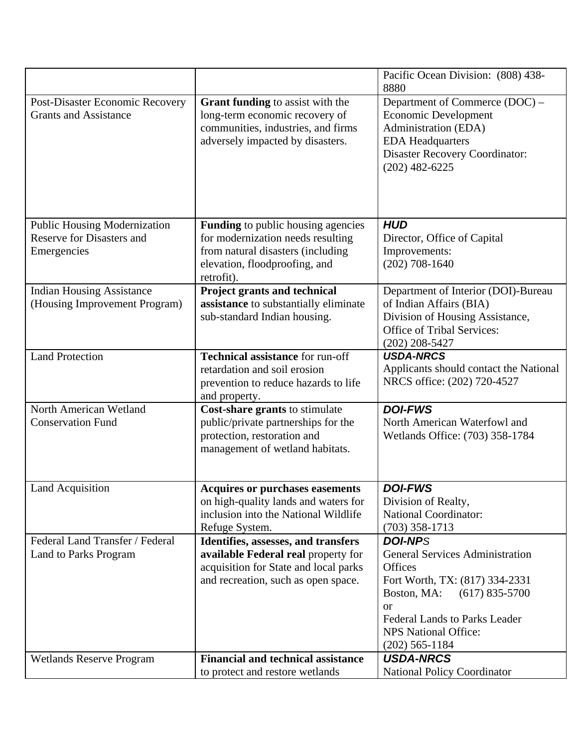|                                                                                        |                                                                                                                                                                    | Pacific Ocean Division: (808) 438-<br>8880                                                                                                                                                                                                  |
|----------------------------------------------------------------------------------------|--------------------------------------------------------------------------------------------------------------------------------------------------------------------|---------------------------------------------------------------------------------------------------------------------------------------------------------------------------------------------------------------------------------------------|
| Post-Disaster Economic Recovery<br><b>Grants and Assistance</b>                        | <b>Grant funding to assist with the</b><br>long-term economic recovery of<br>communities, industries, and firms<br>adversely impacted by disasters.                | Department of Commerce (DOC) –<br><b>Economic Development</b><br>Administration (EDA)<br><b>EDA Headquarters</b><br><b>Disaster Recovery Coordinator:</b><br>$(202)$ 482-6225                                                               |
| <b>Public Housing Modernization</b><br><b>Reserve for Disasters and</b><br>Emergencies | <b>Funding</b> to public housing agencies<br>for modernization needs resulting<br>from natural disasters (including<br>elevation, floodproofing, and<br>retrofit). | <b>HUD</b><br>Director, Office of Capital<br>Improvements:<br>$(202)$ 708-1640                                                                                                                                                              |
| <b>Indian Housing Assistance</b><br>(Housing Improvement Program)                      | Project grants and technical<br>assistance to substantially eliminate<br>sub-standard Indian housing.                                                              | Department of Interior (DOI)-Bureau<br>of Indian Affairs (BIA)<br>Division of Housing Assistance,<br><b>Office of Tribal Services:</b><br>$(202)$ 208-5427                                                                                  |
| <b>Land Protection</b>                                                                 | <b>Technical assistance for run-off</b><br>retardation and soil erosion<br>prevention to reduce hazards to life<br>and property.                                   | <b>USDA-NRCS</b><br>Applicants should contact the National<br>NRCS office: (202) 720-4527                                                                                                                                                   |
| North American Wetland<br><b>Conservation Fund</b>                                     | Cost-share grants to stimulate<br>public/private partnerships for the<br>protection, restoration and<br>management of wetland habitats.                            | <b>DOI-FWS</b><br>North American Waterfowl and<br>Wetlands Office: (703) 358-1784                                                                                                                                                           |
| Land Acquisition                                                                       | <b>Acquires or purchases easements</b><br>on high-quality lands and waters for<br>inclusion into the National Wildlife<br>Refuge System.                           | <b>DOI-FWS</b><br>Division of Realty,<br><b>National Coordinator:</b><br>$(703)$ 358-1713                                                                                                                                                   |
| Federal Land Transfer / Federal<br>Land to Parks Program                               | Identifies, assesses, and transfers<br>available Federal real property for<br>acquisition for State and local parks<br>and recreation, such as open space.         | <b>DOI-NPS</b><br><b>General Services Administration</b><br>Offices<br>Fort Worth, TX: (817) 334-2331<br>Boston, MA: (617) 835-5700<br><b>or</b><br><b>Federal Lands to Parks Leader</b><br><b>NPS National Office:</b><br>$(202)$ 565-1184 |
| <b>Wetlands Reserve Program</b>                                                        | <b>Financial and technical assistance</b><br>to protect and restore wetlands                                                                                       | <b>USDA-NRCS</b><br><b>National Policy Coordinator</b>                                                                                                                                                                                      |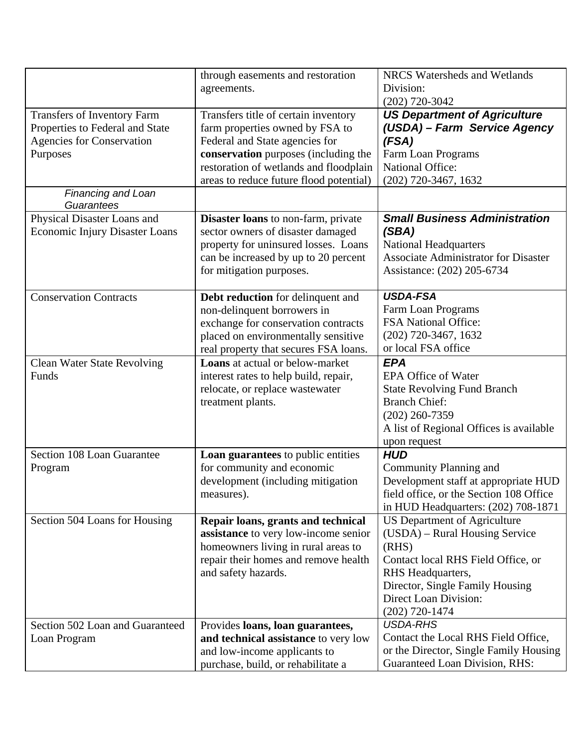|                                                                                                                | through easements and restoration<br>agreements.                                                                                                                                                                                       | NRCS Watersheds and Wetlands<br>Division:<br>$(202)$ 720-3042                                                                                                                                                             |
|----------------------------------------------------------------------------------------------------------------|----------------------------------------------------------------------------------------------------------------------------------------------------------------------------------------------------------------------------------------|---------------------------------------------------------------------------------------------------------------------------------------------------------------------------------------------------------------------------|
| Transfers of Inventory Farm<br>Properties to Federal and State<br><b>Agencies for Conservation</b><br>Purposes | Transfers title of certain inventory<br>farm properties owned by FSA to<br>Federal and State agencies for<br>conservation purposes (including the<br>restoration of wetlands and floodplain<br>areas to reduce future flood potential) | <b>US Department of Agriculture</b><br>(USDA) - Farm Service Agency<br>(FSA)<br>Farm Loan Programs<br><b>National Office:</b><br>(202) 720-3467, 1632                                                                     |
| <b>Financing and Loan</b><br>Guarantees                                                                        |                                                                                                                                                                                                                                        |                                                                                                                                                                                                                           |
| Physical Disaster Loans and<br><b>Economic Injury Disaster Loans</b>                                           | <b>Disaster loans</b> to non-farm, private<br>sector owners of disaster damaged<br>property for uninsured losses. Loans<br>can be increased by up to 20 percent<br>for mitigation purposes.                                            | <b>Small Business Administration</b><br>(SBA)<br><b>National Headquarters</b><br><b>Associate Administrator for Disaster</b><br>Assistance: (202) 205-6734                                                                |
| <b>Conservation Contracts</b>                                                                                  | Debt reduction for delinquent and<br>non-delinquent borrowers in<br>exchange for conservation contracts<br>placed on environmentally sensitive<br>real property that secures FSA loans.                                                | <b>USDA-FSA</b><br><b>Farm Loan Programs</b><br><b>FSA National Office:</b><br>$(202)$ 720-3467, 1632<br>or local FSA office                                                                                              |
| <b>Clean Water State Revolving</b><br>Funds                                                                    | <b>Loans</b> at actual or below-market<br>interest rates to help build, repair,<br>relocate, or replace wastewater<br>treatment plants.                                                                                                | <b>EPA</b><br><b>EPA Office of Water</b><br><b>State Revolving Fund Branch</b><br><b>Branch Chief:</b><br>$(202)$ 260-7359<br>A list of Regional Offices is available<br>upon request                                     |
| Section 108 Loan Guarantee<br>Program                                                                          | Loan guarantees to public entities<br>for community and economic<br>development (including mitigation<br>measures).                                                                                                                    | <b>HUD</b><br>Community Planning and<br>Development staff at appropriate HUD<br>field office, or the Section 108 Office<br>in HUD Headquarters: (202) 708-1871                                                            |
| Section 504 Loans for Housing                                                                                  | Repair loans, grants and technical<br>assistance to very low-income senior<br>homeowners living in rural areas to<br>repair their homes and remove health<br>and safety hazards.                                                       | <b>US Department of Agriculture</b><br>(USDA) – Rural Housing Service<br>(RHS)<br>Contact local RHS Field Office, or<br>RHS Headquarters,<br>Director, Single Family Housing<br>Direct Loan Division:<br>$(202)$ 720-1474 |
| Section 502 Loan and Guaranteed<br>Loan Program                                                                | Provides loans, loan guarantees,<br>and technical assistance to very low<br>and low-income applicants to<br>purchase, build, or rehabilitate a                                                                                         | <b>USDA-RHS</b><br>Contact the Local RHS Field Office,<br>or the Director, Single Family Housing<br><b>Guaranteed Loan Division, RHS:</b>                                                                                 |